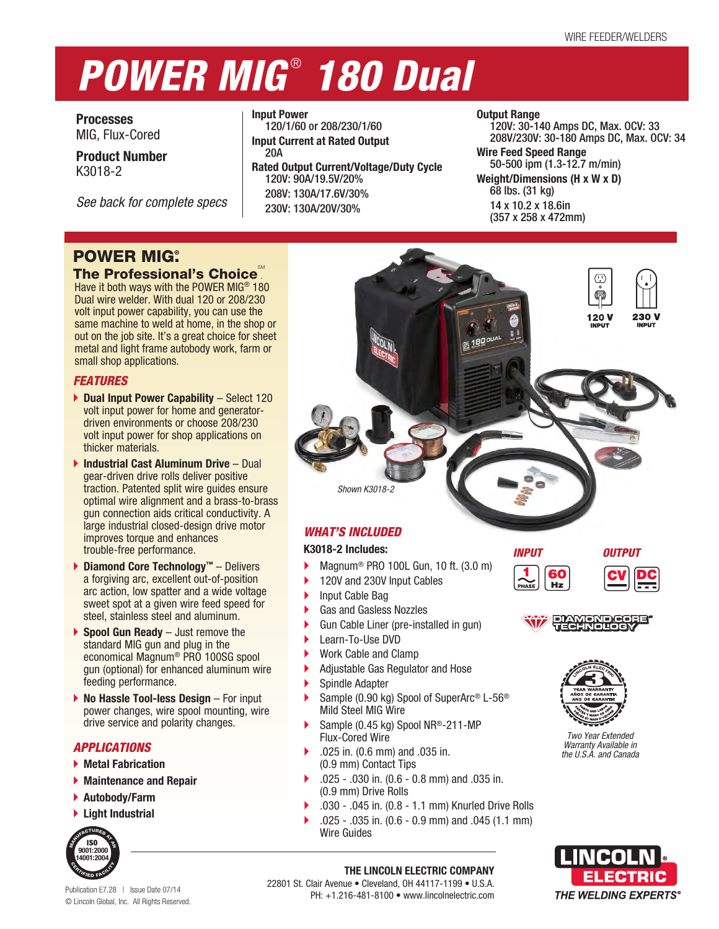# *POWER MIG* ®  *180 Dual*

**Processes** MIG, Flux-Cored

**Product Number** K3018-2

*See back for complete specs*

**Input Power** 120/1/60 or 208/230/1/60 **Input Current at Rated Output** 20A **Rated Output Current/Voltage/Duty Cycle** 120V: 90A/19.5V/20% 208V: 130A/17.6V/30% 230V: 130A/20V/30%

# **Output Range**

120V: 30-140 Amps DC, Max. OCV: 33 208V/230V: 30-180 Amps DC, Max. OCV: 34

**Wire Feed Speed Range** 50-500 ipm (1.3-12.7 m/min) **Weight/Dimensions (H x W x D)** 68 lbs. (31 kg) 14 x 10.2 x 18.6in (357 x 258 x 472mm)

# **POWER MIG.**

# The Professional's Choice

Have it both ways with the POWER MIG® 180 Dual wire welder. With dual 120 or 208/230 volt input power capability, you can use the same machine to weld at home, in the shop or out on the job site. It's a great choice for sheet metal and light frame autobody work, farm or small shop applications.

# *FEATURES*

- ▶ Dual Input Power Capability Select 120 volt input power for home and generatordriven environments or choose 208/230 volt input power for shop applications on thicker materials.
- **Industrial Cast Aluminum Drive**  Dual gear-driven drive rolls deliver positive traction. Patented split wire guides ensure optimal wire alignment and a brass-to-brass gun connection aids critical conductivity. A large industrial closed-design drive motor improves torque and enhances trouble-free performance.
- **Diamond Core Technology™** Delivers a forgiving arc, excellent out-of-position arc action, low spatter and a wide voltage sweet spot at a given wire feed speed for steel, stainless steel and aluminum.
- **Spool Gun Ready** Just remove the standard MIG gun and plug in the economical Magnum® PRO 100SG spool gun (optional) for enhanced aluminum wire feeding performance.
- **▶ No Hassle Tool-less Design** For input power changes, wire spool mounting, wire drive service and polarity changes.

# *APPLICATIONS*

- **Metal Fabrication**
- **Maintenance and Repair**
- **Autobody/Farm**
- **Light Industrial**



Publication E7.28 | Issue Date 07/14 © Lincoln Global, Inc. All Rights Reserved.

# *WHAT'S INCLUDED*

*Shown K3018-2*

# **K3018-2 Includes:**

- Magnum® PRO 100L Gun, 10 ft. (3.0 m)
- 120V and 230V Input Cables
- Input Cable Bag
- Gas and Gasless Nozzles
- Gun Cable Liner (pre-installed in gun)
- ▶ Learn-To-Use DVD
- Work Cable and Clamp
- Adjustable Gas Regulator and Hose
- Spindle Adapter
- Sample (0.90 kg) Spool of SuperArc® L-56® Mild Steel MIG Wire
- Sample (0.45 kg) Spool NR®-211-MP Flux-Cored Wire
- .025 in. (0.6 mm) and .035 in. (0.9 mm) Contact Tips

22801 St. Clair Avenue • Cleveland, OH 44117-1199 • U.S.A.

- .025 .030 in. (0.6 0.8 mm) and .035 in. (0.9 mm) Drive Rolls
- .030 .045 in. (0.8 1.1 mm) Knurled Drive Rolls
- .025 .035 in. (0.6 0.9 mm) and .045 (1.1 mm) Wire Guides

**THE LINCOLN ELECTRIC COMPANY**

PH: +1.216-481-8100 • www.lincolnelectric.com

# *INPUT OUTPUT*

60  $Hz$ 



230 V

120 V





*Two Year Extended Warranty Available in the U.S.A. and Canada*

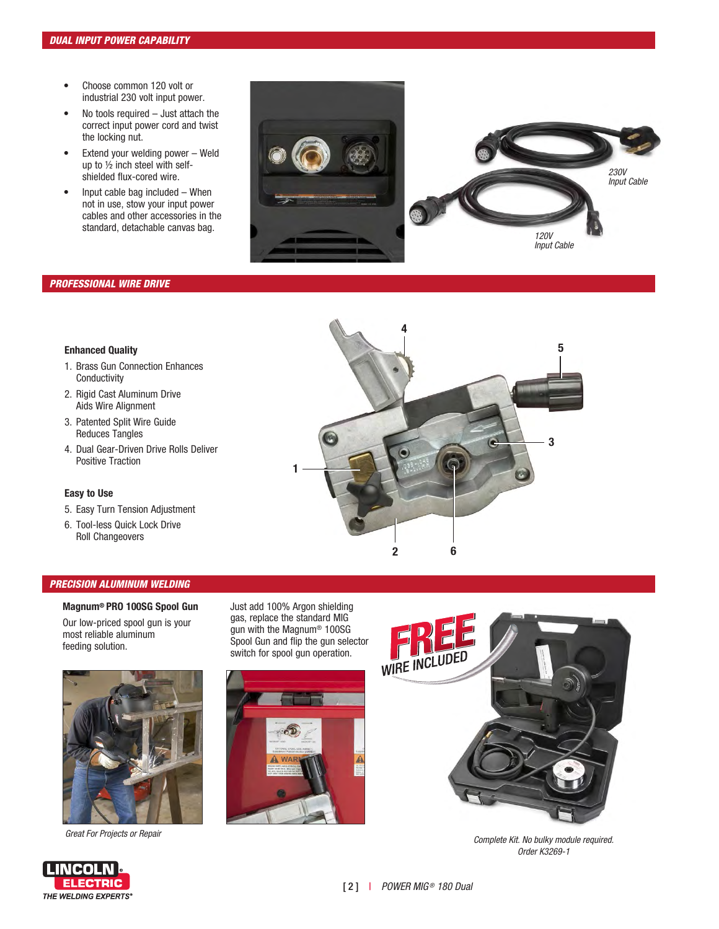- Choose common 120 volt or industrial 230 volt input power.
- No tools required Just attach the correct input power cord and twist the locking nut.
- Extend your welding power Weld up to ½ inch steel with selfshielded flux-cored wire.
- Input cable bag included When not in use, stow your input power cables and other accessories in the standard, detachable canvas bag.



# *PROFESSIONAL WIRE DRIVE*

# **Enhanced Quality**

- 1. Brass Gun Connection Enhances **Conductivity**
- 2. Rigid Cast Aluminum Drive Aids Wire Alignment
- 3. Patented Split Wire Guide Reduces Tangles
- 4. Dual Gear-Driven Drive Rolls Deliver Positive Traction

### **Easy to Use**

- 5. Easy Turn Tension Adjustment
- 6. Tool-less Quick Lock Drive Roll Changeovers

# *PRECISION ALUMINUM WELDING*

**Magnum® PRO 100SG Spool Gun** Our low-priced spool gun is your most reliable aluminum feeding solution.

Just add 100% Argon shielding gas, replace the standard MIG gun with the Magnum® 100SG Spool Gun and flip the gun selector switch for spool gun operation.



*Great For Projects or Repair*

**LINCOLN ELECTRIC THE WELDING EXPERTS®** 





*Complete Kit. No bulky module required. Order K3269-1*

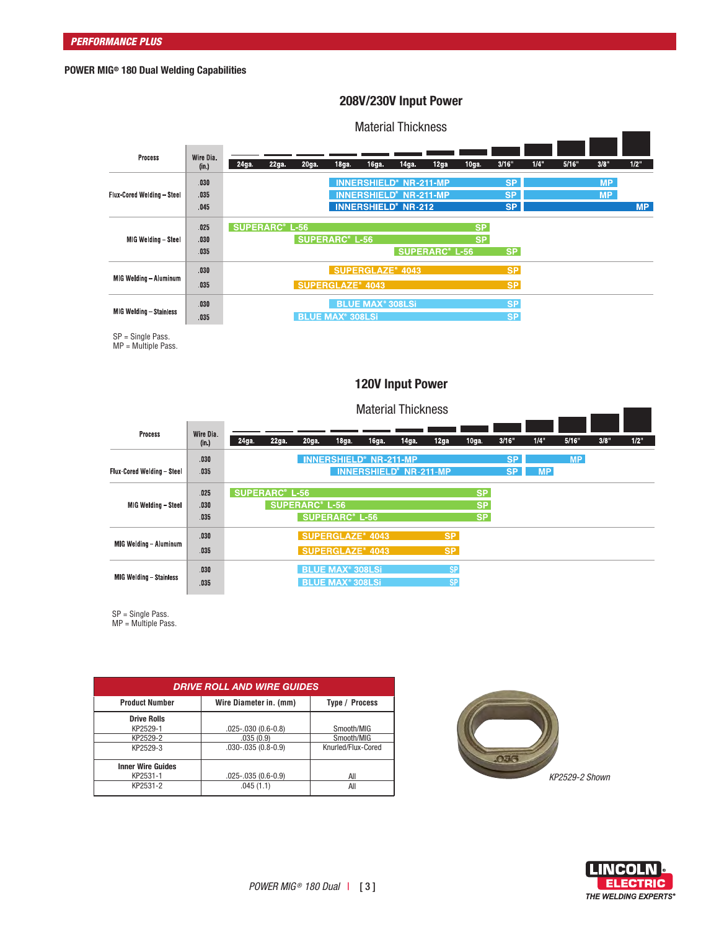# **POWER MIG® 180 Dual Welding Capabilities**

# **208V/230V Input Power**

# Material Thickness

|                                   |                      |                       |      |                   |                                    |                                    | <u>IIKUUTUU TIIIVINTUUU</u>                                                                             |      |                        |                              |      |       |                        |           |
|-----------------------------------|----------------------|-----------------------|------|-------------------|------------------------------------|------------------------------------|---------------------------------------------------------------------------------------------------------|------|------------------------|------------------------------|------|-------|------------------------|-----------|
| Process                           | Wire Dia.<br>(in.)   | 24ga.                 | 22ga | 20 <sub>g</sub> a | $18ga$ .                           | $16ga$ .                           | 14 <sub>ga</sub>                                                                                        | 12ga | $10ga$ .               | 3/16"                        | 1/4" | 5/16" | 3/8"                   | 1/2"      |
| <b>Flux-Cored Welding - Steel</b> | .030<br>035<br>.045  |                       |      |                   |                                    |                                    | <b>INNERSHIELD® NR-211-MP</b><br><b>INNERSHIELD® NR-211-MP</b><br><b>INNERSHIELD<sup>®</sup> NR-212</b> |      |                        | <b>SP</b><br>SP<br><b>SP</b> |      |       | <b>MP</b><br><b>MP</b> | <b>MP</b> |
| MIG Welding - Steel               | .025<br>.030<br>.035 | <b>SUPERARC® L-56</b> |      |                   | <b>SUPERARC® L-56</b>              |                                    | <b>SUPERARC<sup>®</sup> L-56</b>                                                                        |      | <b>SP</b><br><b>SP</b> | <b>SP</b>                    |      |       |                        |           |
| MIG Welding - Aluminum            | .030<br>.035         |                       |      |                   | <b>SUPERGLAZE® 4043</b>            |                                    | <b>SUPERGLAZE® 4043</b>                                                                                 |      |                        | <b>SP</b><br><b>SP</b>       |      |       |                        |           |
| <b>MIG Welding - Stainless</b>    | .030<br>.035         |                       |      |                   | <b>BLUE MAX<sup>®</sup> 308LSi</b> | <b>BLUE MAX<sup>®</sup> 308LSi</b> |                                                                                                         |      |                        | <b>SP</b><br><b>SP</b>       |      |       |                        |           |

SP = Single Pass.

MP = Multiple Pass.

# **120V Input Power**

|                                | <b>Material Thickness</b> |      |                       |                                  |                                                                          |                                                                |                   |                        |                                     |                        |           |           |      |      |
|--------------------------------|---------------------------|------|-----------------------|----------------------------------|--------------------------------------------------------------------------|----------------------------------------------------------------|-------------------|------------------------|-------------------------------------|------------------------|-----------|-----------|------|------|
| Process                        | Wire Dia.<br>(in.)        | 24ga | 22ga.                 | 20ga.                            | 18 <sub>ga.</sub>                                                        | 16 <sub>g</sub> a                                              | 14 <sub>ga.</sub> | 12ga                   | 10 <sub>ga.</sub>                   | 3/16"                  | 1/4"      | 5/16"     | 3/8" | 1/2" |
| Flux-Cored Welding - Steel     | .030<br>.035              |      |                       |                                  |                                                                          | <b>INNERSHIELD® NR-211-MP</b><br><b>INNERSHIELD® NR-211-MP</b> |                   |                        |                                     | <b>SP</b><br><b>SP</b> | <b>MP</b> | <b>MP</b> |      |      |
| MIG Welding - Steel            | .025<br>.030<br>.035      |      | <b>SUPERARC® L-56</b> | <b>SUPERARC<sup>®</sup> L-56</b> | <b>SUPERARC<sup>®</sup> L-56</b>                                         |                                                                |                   |                        | <b>SP</b><br><b>SP</b><br><b>SP</b> |                        |           |           |      |      |
| MIG Welding - Aluminum         | .030<br>.035              |      |                       |                                  | <b>SUPERGLAZE<sup>®</sup> 4043</b><br><b>SUPERGLAZE<sup>®</sup> 4043</b> |                                                                |                   | <b>SP</b><br><b>SP</b> |                                     |                        |           |           |      |      |
| <b>MIG Welding - Stainless</b> | .030<br>.035              |      |                       |                                  | <b>BLUE MAX<sup>®</sup> 308LSi</b><br><b>BLUE MAX<sup>®</sup> 308LSi</b> |                                                                |                   | <b>SP</b><br><b>SP</b> |                                     |                        |           |           |      |      |

SP = Single Pass.

MP = Multiple Pass.

| <b>DRIVE ROLL AND WIRE GUIDES</b> |                          |                    |  |  |  |  |  |  |  |
|-----------------------------------|--------------------------|--------------------|--|--|--|--|--|--|--|
| <b>Product Number</b>             | Wire Diameter in. (mm)   | Type / Process     |  |  |  |  |  |  |  |
| <b>Drive Rolls</b><br>KP2529-1    | $.025 - .030(0.6 - 0.8)$ | Smooth/MIG         |  |  |  |  |  |  |  |
| KP2529-2                          | .035(0.9)                | Smooth/MIG         |  |  |  |  |  |  |  |
| KP2529-3                          | $.030 - .035(0.8 - 0.9)$ | Knurled/Flux-Cored |  |  |  |  |  |  |  |
| <b>Inner Wire Guides</b>          |                          |                    |  |  |  |  |  |  |  |
| KP2531-1                          | $.025 - .035(0.6 - 0.9)$ | All                |  |  |  |  |  |  |  |
| KP2531-2                          | .045(1.1)                | All                |  |  |  |  |  |  |  |